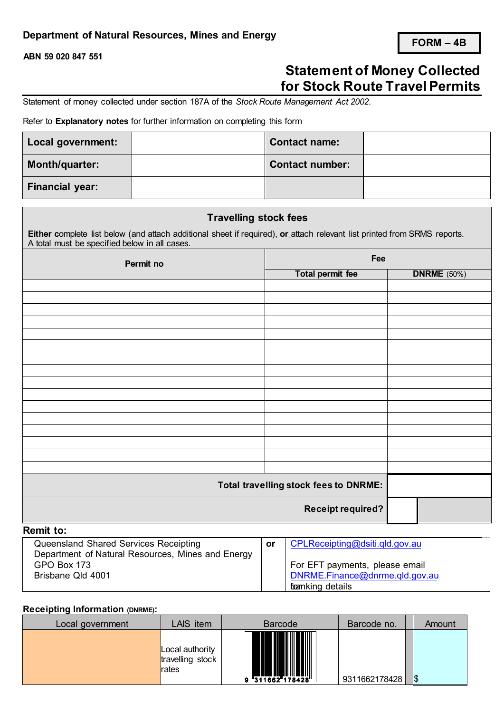# **Department of Natural Resources, Mines and Energy**

**ABN 59 020 847 551**

# **Statement of Money Collected for Stock Route Travel Permits**

Statement of money collected under section 187A of the *Stock Route Management Act 2002*.

Refer to **Explanatory notes** for further information on completing this form

| Local government: | <b>Contact name:</b>   |  |
|-------------------|------------------------|--|
| Month/quarter:    | <b>Contact number:</b> |  |
| Financial year:   |                        |  |

| <b>Travelling stock fees</b>                                                                                                                                              |                                              |                    |  |  |
|---------------------------------------------------------------------------------------------------------------------------------------------------------------------------|----------------------------------------------|--------------------|--|--|
| Either complete list below (and attach additional sheet if required), or attach relevant list printed from SRMS reports.<br>A total must be specified below in all cases. |                                              |                    |  |  |
| Permit no                                                                                                                                                                 | Fee                                          |                    |  |  |
|                                                                                                                                                                           | <b>Total permit fee</b>                      | <b>DNRME</b> (50%) |  |  |
|                                                                                                                                                                           |                                              |                    |  |  |
|                                                                                                                                                                           |                                              |                    |  |  |
|                                                                                                                                                                           |                                              |                    |  |  |
|                                                                                                                                                                           |                                              |                    |  |  |
|                                                                                                                                                                           |                                              |                    |  |  |
|                                                                                                                                                                           |                                              |                    |  |  |
|                                                                                                                                                                           |                                              |                    |  |  |
|                                                                                                                                                                           |                                              |                    |  |  |
|                                                                                                                                                                           |                                              |                    |  |  |
|                                                                                                                                                                           |                                              |                    |  |  |
|                                                                                                                                                                           |                                              |                    |  |  |
|                                                                                                                                                                           |                                              |                    |  |  |
|                                                                                                                                                                           |                                              |                    |  |  |
|                                                                                                                                                                           |                                              |                    |  |  |
|                                                                                                                                                                           |                                              |                    |  |  |
|                                                                                                                                                                           |                                              |                    |  |  |
|                                                                                                                                                                           | <b>Total travelling stock fees to DNRME:</b> |                    |  |  |
|                                                                                                                                                                           | <b>Receipt required?</b>                     |                    |  |  |
| <b>Remit to:</b>                                                                                                                                                          |                                              |                    |  |  |
|                                                                                                                                                                           |                                              |                    |  |  |

| Queensland Shared Services Receipting             | <b>or</b> | CPLReceipting@dsiti.gld.gov.au |
|---------------------------------------------------|-----------|--------------------------------|
| Department of Natural Resources, Mines and Energy |           |                                |
| GPO Box 173                                       |           | For EFT payments, please email |
| Brisbane Qld 4001                                 |           | DNRME.Finance@dnrme.gld.gov.au |
|                                                   |           | <b>toanking details</b>        |

#### **Receipting Information (DNRME):**

| Local government | LAIS item                                    | <b>Barcode</b>  | Barcode no.   | Amount |
|------------------|----------------------------------------------|-----------------|---------------|--------|
|                  | Local authority<br>travelling stock<br>rates | 9 311662 178428 | 9311662178428 | \$     |